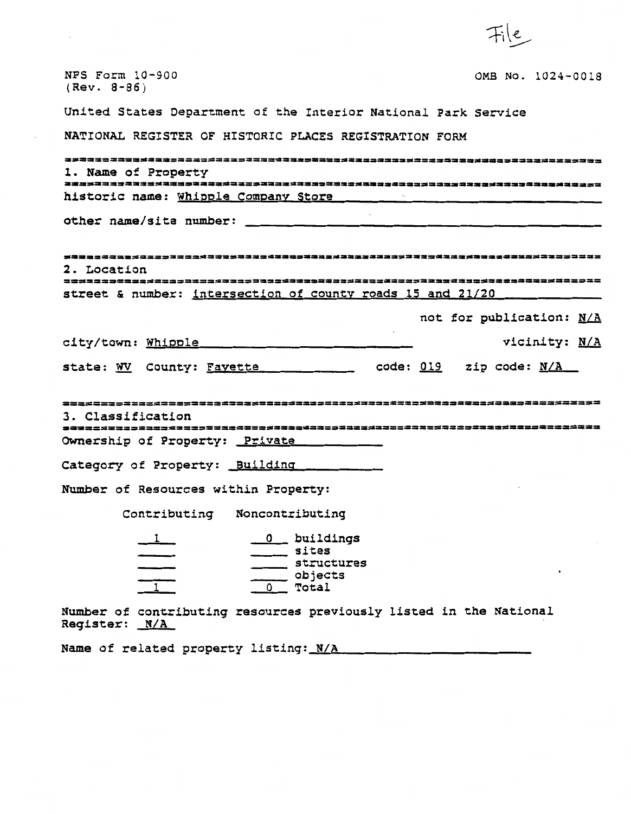| NPS Form 10-900<br>OMB No. 1024-0018<br>$(Rev. 8-86)$                                                                            |
|----------------------------------------------------------------------------------------------------------------------------------|
| United States Department of the Interior National Park Service                                                                   |
| NATIONAL REGISTER OF HISTORIC PLACES REGISTRATION FORM                                                                           |
| 2223323333333333333333333333333333999<br>1. Name of Property                                                                     |
| historic name: Whipple Company Store                                                                                             |
| other name/site number:                                                                                                          |
| 2. Location<br>street & number: intersection of county roads 15 and 21/20                                                        |
| not for publication: N/A                                                                                                         |
| vicinity: N/A<br>city/town: Whipple                                                                                              |
| $\frac{1}{2}$ code: 019 zip code: N/A<br>state: WV County: Favette                                                               |
| 3. Classification<br>Ownership of Property: Private                                                                              |
| Category of Property: Building                                                                                                   |
| Number of Resources within Property:                                                                                             |
| Contributing Noncontributing                                                                                                     |
| 0 buildings<br>$\frac{1}{\sqrt{1-\frac{1}{2}}}$<br>sites<br>$\frac{1}{\sqrt{1-\frac{1}{2}}}$<br>structures<br>objects<br>0 Total |
| Number of contributing resources previously listed in the National<br>Register: N/A                                              |
| Name of related property listing: N/A                                                                                            |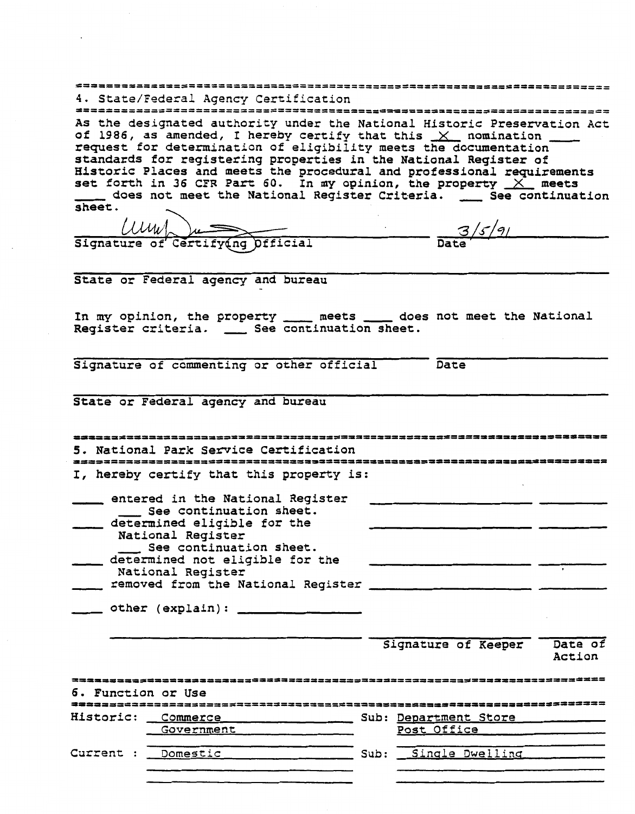|                    | 4. State/Federal Agency Certification                                                                                                                                                                                                                                                                                                                                                                                                                                                                                |                                      |        |
|--------------------|----------------------------------------------------------------------------------------------------------------------------------------------------------------------------------------------------------------------------------------------------------------------------------------------------------------------------------------------------------------------------------------------------------------------------------------------------------------------------------------------------------------------|--------------------------------------|--------|
|                    |                                                                                                                                                                                                                                                                                                                                                                                                                                                                                                                      | ==================================== |        |
| sheet.             | As the designated authority under the National Historic Preservation Act<br>of 1986, as amended, I hereby certify that this $X$ nomination ____<br>request for determination of eligibility meets the documentation<br>standards for registering properties in the National Register of<br>Historic Places and meets the procedural and professional requirements<br>set forth in 36 CFR Part 60. In my opinion, the property $X$ meets<br>_____ does not meet the National Register Criteria. ____ See continuation |                                      |        |
|                    |                                                                                                                                                                                                                                                                                                                                                                                                                                                                                                                      |                                      |        |
|                    | $\frac{1}{\text{Sigma}}$ 3/5/9                                                                                                                                                                                                                                                                                                                                                                                                                                                                                       |                                      |        |
|                    |                                                                                                                                                                                                                                                                                                                                                                                                                                                                                                                      |                                      |        |
|                    | State or Federal agency and bureau                                                                                                                                                                                                                                                                                                                                                                                                                                                                                   |                                      |        |
|                    | In my opinion, the property _____ meets _____ does not meet the National<br>Register criteria. __ See continuation sheet.                                                                                                                                                                                                                                                                                                                                                                                            |                                      |        |
|                    | Signature of commenting or other official                                                                                                                                                                                                                                                                                                                                                                                                                                                                            | Date                                 |        |
|                    | State or Federal agency and bureau                                                                                                                                                                                                                                                                                                                                                                                                                                                                                   |                                      |        |
|                    |                                                                                                                                                                                                                                                                                                                                                                                                                                                                                                                      |                                      |        |
|                    | 5. National Park Service Certification                                                                                                                                                                                                                                                                                                                                                                                                                                                                               |                                      |        |
|                    | I, hereby certify that this property is:                                                                                                                                                                                                                                                                                                                                                                                                                                                                             | ;================================    |        |
|                    | entered in the National Register                                                                                                                                                                                                                                                                                                                                                                                                                                                                                     |                                      |        |
|                    | See continuation sheet.                                                                                                                                                                                                                                                                                                                                                                                                                                                                                              |                                      |        |
|                    | determined eligible for the<br>National Register                                                                                                                                                                                                                                                                                                                                                                                                                                                                     |                                      |        |
|                    | See continuation sheet.                                                                                                                                                                                                                                                                                                                                                                                                                                                                                              |                                      |        |
|                    | determined not eligible for the                                                                                                                                                                                                                                                                                                                                                                                                                                                                                      |                                      |        |
|                    | National Register                                                                                                                                                                                                                                                                                                                                                                                                                                                                                                    |                                      |        |
|                    |                                                                                                                                                                                                                                                                                                                                                                                                                                                                                                                      |                                      |        |
|                    |                                                                                                                                                                                                                                                                                                                                                                                                                                                                                                                      |                                      |        |
|                    |                                                                                                                                                                                                                                                                                                                                                                                                                                                                                                                      | Signature of Keeper Date of          | Action |
| 6. Function or Use |                                                                                                                                                                                                                                                                                                                                                                                                                                                                                                                      |                                      |        |
|                    |                                                                                                                                                                                                                                                                                                                                                                                                                                                                                                                      |                                      |        |
|                    |                                                                                                                                                                                                                                                                                                                                                                                                                                                                                                                      |                                      |        |
|                    | Government ___________                                                                                                                                                                                                                                                                                                                                                                                                                                                                                               | Post Office                          |        |
|                    | Current : __Domestic __________________________ Sub: ___Single Dwelling ________                                                                                                                                                                                                                                                                                                                                                                                                                                     |                                      |        |
|                    |                                                                                                                                                                                                                                                                                                                                                                                                                                                                                                                      |                                      |        |

 $\mathcal{L}^{\text{max}}$  and  $\mathcal{L}^{\text{max}}$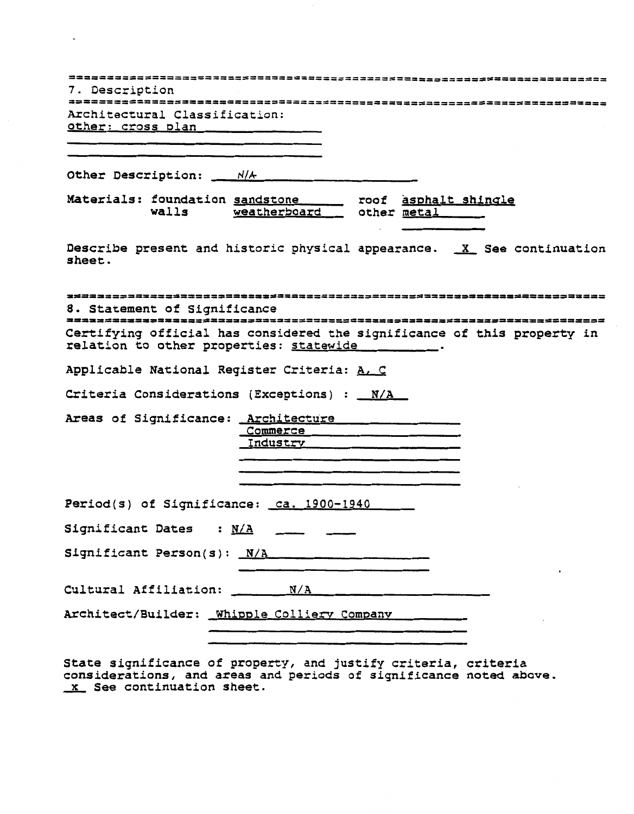| 7. Description<br>*************************************<br>Architectural Classification:<br>other: cross plan      |
|--------------------------------------------------------------------------------------------------------------------|
| Other Description: ___ N/A                                                                                         |
| Materials: foundation sandstone _____ roof asphalt shingle<br>weatherboard other metal<br>walls                    |
| Describe present and historic physical appearance. X See continuation<br>sheet.                                    |
| ----------------------------<br>8. Statement of Significance                                                       |
| Certifying official has considered the significance of this property in<br>relation to other properties: statewide |
| Applicable National Register Criteria: A. C                                                                        |
| Criteria Considerations (Exceptions) : _N/A                                                                        |
| Areas of Significance: Architecture<br>Commerce<br>Industry                                                        |
| Period(s) of Significance: ca. 1900-1940                                                                           |
| Significant Dates : N/A ______ ____                                                                                |
| Significant Person(s): N/A                                                                                         |
|                                                                                                                    |
|                                                                                                                    |

 $\ddot{\phantom{0}}$ 

**State significance of property, and justify criteria, criteria considerations, and areas and periods of significance noted above. See continuation sheet.**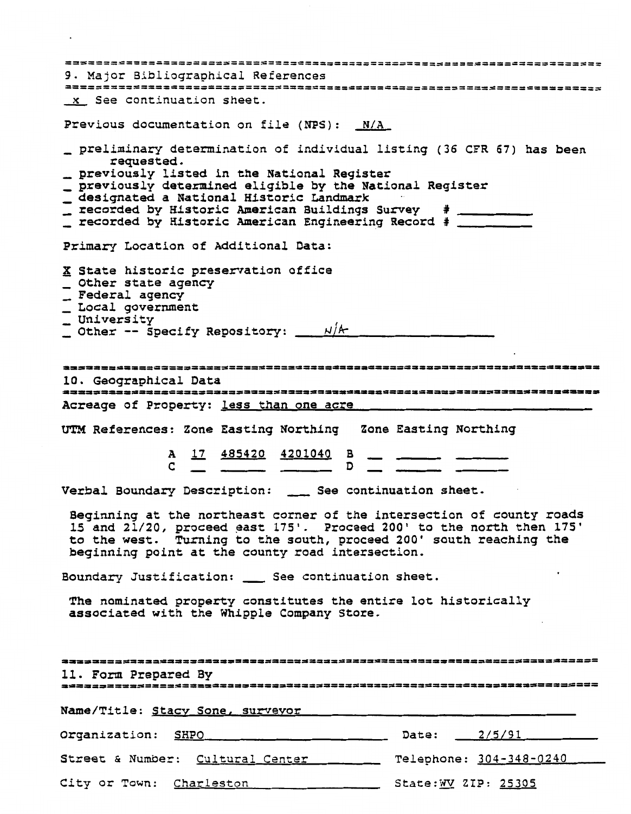**9. Major Bibliographical References See continuation sheet. revious documentation on file (NPS):** <u>N/A</u><br> **preliminary determination of individual list<br>
requested.<br>
<b>previously listed in the National Register**<br>
previously determined eligible by the Nation **Previous documentation on file (NPS): N/A**  revious documentation on file (NPS): <u>\_N/A\_</u><br>\_ preliminary determination of individual listing (36 CFR 67) has been 4 preliminary determination of individual listing (36<br>
5 requested.<br>
1 previously listed in the National Register<br>
1 previously determined eligible by the National Regi<br>
4 designated a National Historic Landmark<br>
1 recorde - Fequested:<br>- previously listed in the National Register **previously determined eligible by the Nat**ional Register <sub>-</sub> **Primary Location of Additional Data: State historic preservation office Other state agency Federal agency Local government University Other -- Specify Repository:**  $\frac{N/k}{k}$ 10. Geographical Data Acreage of Property: less than one acre **Verbal Boundary Description:** - **See continuation sheet. Beginning at the northeast corner of the intersection of county roads**  Beginning at the northeast corner of the intersection of county roads<br>
15 and 21/20, proceed east 175'. Proceed 200' to the north then 175'<br>
to the west. Turning to the south, proceed 200' south reaching the<br>
beginning poi **to the west. Turning to the south, proceed 200' south reaching the beginning point at the county road intersection. The nominated property constitutes the entire lot historically associated with the Whipple Company Store.**  11. Form Prepared By **Name/Title: Stacv Sone, survevor**  Organization: SHPO **Date: 2/5/91** Street & Number: Cultural Center 1982 Telephone: 304-348-0240 City or Town: Charleston **Charless Committee City CIP: 25305**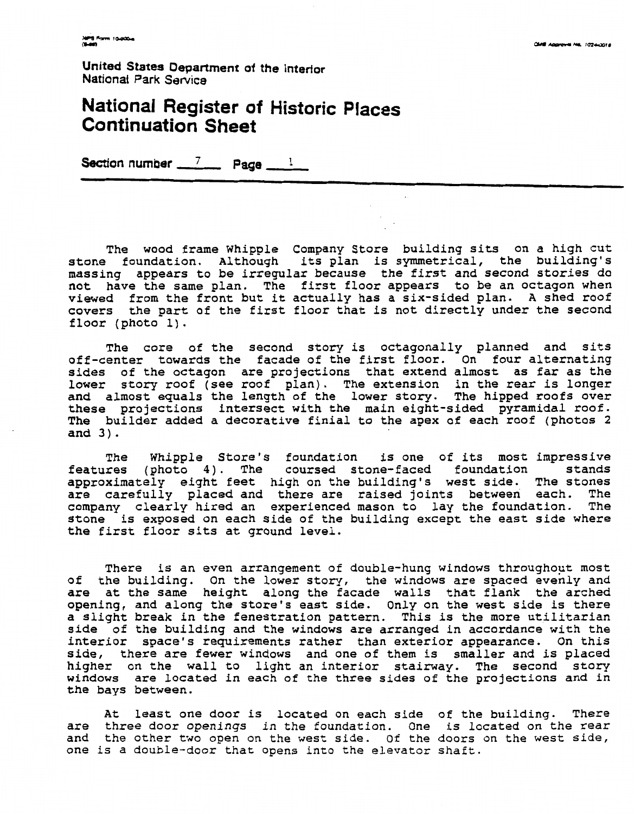### **National Register of Historic Places Continuation Sheet**

Section number  $\frac{7}{2}$  **Page** <sup>1</sup>

The wood frame Whipple Company Store building sits on a high cut stone foundation. Although its plan is symmetrical, the building's massing appears to be irregular because the first and second stories do not have the same plan. The first floor appears to be an octagon when viewed from the front but it actually has a six-sided plan. A shed roof covers the part of the first floor that is not directly under the second floor (photo 1).

The core of the second story is octagonally planned and sits off-center towards the facade of the first floor. On four alternating sides of the octagon are projections that extend almost as far as the lower story roof (see roof plan). The extension in the rear is longer and almost equals the length of the lower story. The hipped roofs over these projections intersect with the main eight-sided pyramidal roof. The builder added a decorative finial to the apex of each roof (photos 2 and 3).

The Whipple Store's foundation is one of its most impressive features (photo 4). The coursed stone-faced foundation stands approximately eight feet high on the building's west side. The stones are carefully placed and there are raised joints between each. The company clearly hired an experienced mason to lay the foundation. The stone is exposed on each side of the building except the east side where the first floor sits at ground level.

There is an even arrangement of double-hung windows throughout most of the building. On the lower story, the windows are spaced evenly and are at the same height along the facade walls that flank the arched opening, and along the store's east side. Only on the west side is there a slight break in the fenestration pattern. This is the more utilitarian side of the building and the windows are arranged in accordance with the interior space's requirements rather than exterior appearance. On this side, there are fewer windows and one of them is smaller and is placed higher on the wall to light an interior stairway. The second story windows are located in each of the three sides of the projections and in the bays between.

At least one door is located on each side of the building. There are three door openings in the foundation. One is located on the rear and the other two open on the west side. Of the doors on the west side, one is a double-door that opens into the elevator shaft.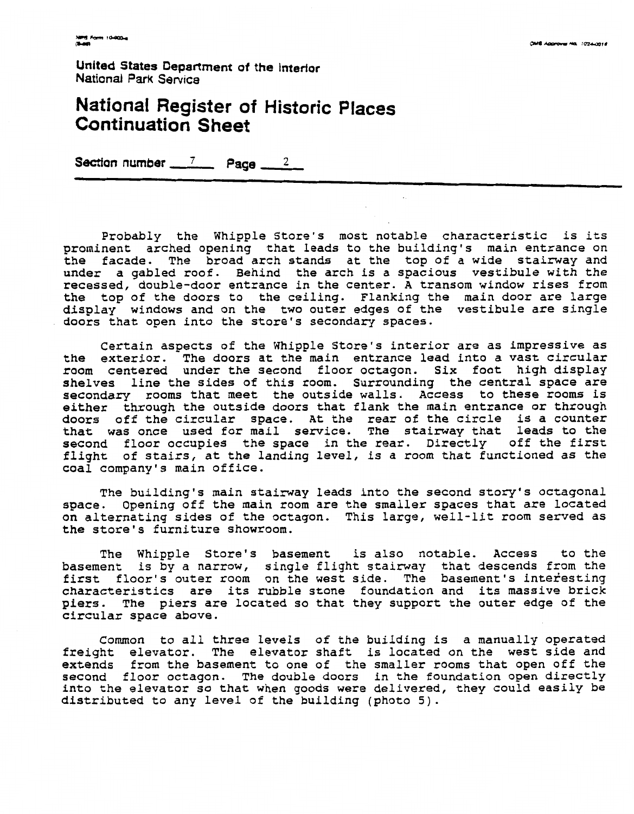### **National Register of Historic Places Continuation Sheet**

**Section number 7 Page 2** 

Probably the Whipple Store's most notable characteristic is its prominent arched opening that leads to the building's main entrance on the facade. The broad arch stands at the top of a wide stairway and under a gabled roof. Behind the arch is a spacious vestibule with the recessed, double-door entrance in the center. A transom window rises from topsted, double door encrance in the center. In cransom written from them.<br>he top of the doors to the ceiling. Flanking the main door are large display windows and on the two outer edges of the vestibule are single doors that open into the store's secondary spaces.

Certain aspects of the Whipple Store's interior are as impressive as the exterior. The doors at the main entrance lead into a vast circular room centered under the second floor octagon. Six foot high display shelves line the sides of this room. Surrounding the central space are secondary rooms that meet the outside walls. Access to these rooms is econdary rooms once meet the casside warrer necess for energy rooms is doors off the circular space. At the rear of the circle is a counter that was once used for mail service. The stairway that leads to the second floor occupies the space in the rear. Directly off the first flight of stairs, at the landing level, is a room that functioned as the coal company's main office.

The building's main stairway leads into the second story's octagonal space. Opening off the main room are the smaller spaces that are located on alternating sides of the octagon. This large, well-lit room served as the store's furniture showroom.

The Whipple Store's basement is also notable. Access to the basement is by a narrow, single flight stairway that descends from the first floor's outer room on the west side. The basement's interesting characteristics are its rubble stone foundation and its massive brick piers. The piers are located so that they support the outer edge of the circular space above.

Common to all three levels of the building is a manually operated freight elevator. The elevator shaft is located on the west side and extends from the basement to one of the smaller rooms that open off the stends flow the basement to the of the<br>econd floor octagon. The double doors econd frost octagon. The double doors into the elevator so that when goods were d distributed to any level of the building (photo 5). multer rooms that open one one delivered, they could easily be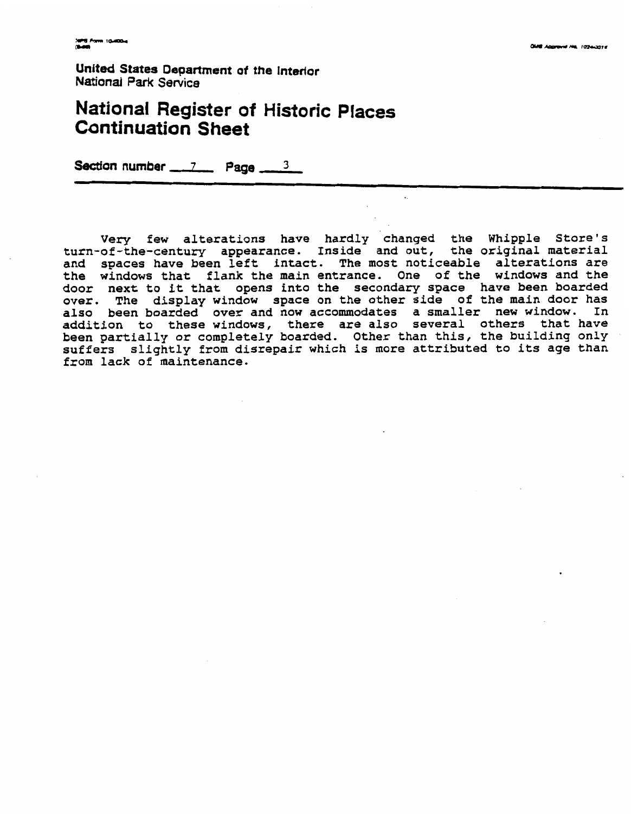## **National Register of Historic Places Continuation Sheet**

**Section number \_\_\_ 7 Page \_\_** 

**Very few alterations have hardly changed the Whipple Store's turn-of-the-century appearance. Inside and out, the original material and spaces have been left intact. The most noticeable alterations are the windows that flank the main entrance. One of the windows and the door next to it that opens into the secondary space have been boarded over. The display window space on the other side of the main door has also been boarded over and now accommodates a smaller new window. In addition to these windows, there are also several others that have been partially or completely boarded. Other than this, the building only suffers slightly from disrepair which is more attributed to its age than from lack of maintenance.**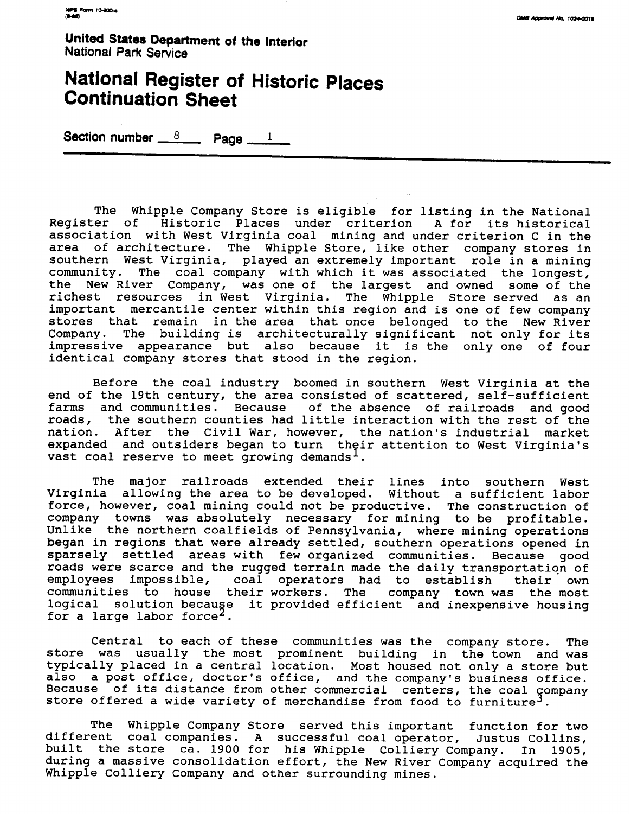## **National Register of Historic Places Continuation Sheet United States Department of the Interior<br>National Park Service<br><b>National Register of Historic PI**<br>Continuation Sheet<br>Section number <u>8</u> Page 1

The Whipple Company Store is eligible for listing in the National Register of Historic Places under criterion A for its historical association with West Virginia coal mining and under criterion C in the area of architecture. The Whipple Store, like other company stores in southern West Virginia, played an extremely important role in a mining community. The coal company with which it was associated the longest, the New River Company, was one of the largest and owned some of the richest resources in West Virginia. The Whipple Store served as an important mercantile center within this region and is one of few company stores that remain in the area that once belonged to the New River Company. The building is architecturally significant not only for its impressive appearance but also because it is the only one of four identical company stores that stood in the region.

Before the coal industry boomed in southern West Virginia at the end of the 19th century, the area consisted of scattered, self-sufficient farms and communities. Because of the absence of railroads and good roads, the southern counties had little interaction with the rest of the nation. After the Civil War, however, the nation's industrial market expanded and outsiders began to turn their attention to West Virginia's vast coal reserve to meet growing demands  $l$ .

The major railroads extended their lines into southern West Virginia allowing the area to be developed. Without a sufficient labor force, however, coal mining could not be productive. The construction of company towns was absolutely necessary for mining to be profitable. Unlike the northern coalfields of Pennsylvania, where mining operations began in regions that were already settled, southern operations opened in sparsely settled areas with few organized communities. Because good roads were scarce and the rugged terrain made the daily transportation of employees impossible, coal operators had to establish their own communities to house their workers. The company town was the most logical solution becauge it provided efficient and inexpensive housing for a large labor force<sup>2</sup>.

Central to each of these communities was the company store. The store was usually the most prominent building in the town and was typically placed in a central location. Most housed not only a store but also a post office, doctor's office, and the company's business office. Because of its distance from other commercial centers, the coal company store offered a wide variety of merchandise from food to furniture<sup>3</sup>.

The Whipple Company Store served this important function for two different coal companies. A successful coal operator, Justus Collins, built the store ca. 1900 for his Whipple Colliery Company. In 1905, during a massive consolidation effort, the New River Company acquired the Whipple Colliery Company and other surrounding mines.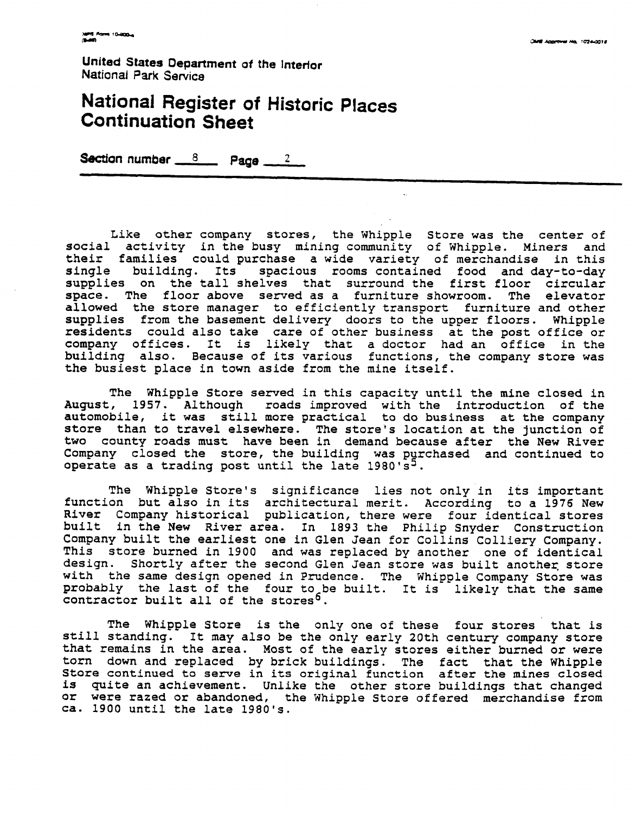## **National Register of Historic Places Continuation Sheet**

**Section number**  $8$  **<b>Page**  $2$ 

Like other company stores, the Whipple Store was the center of social activity in the busy mining community of Whipple. Miners and their families could purchase a wide variety of merchandise in this single building. Its spacious rooms contained food and day-to-day supplies on the tall shelves that surround the first floor circular<br>space. The floor above served as a furniture showroom. The elevator space. The floor above served as a furniture showroom. allowed the store manager to efficiently transport furniture and other supplies from the basement delivery doors to the upper floors. Whipple residents could also take care of other business at the post office or company offices. It is likely that a doctor had an office in the building also. Because of its various functions, the company store was the busiest place in town aside from the mine itself.

The Whipple Store served in this capacity until the mine closed in August, 1957. Although roads improved with the introduction of the automobile, it was still more practical to do business at the company store than to travel elsewhere. The store's location at the junction of two county roads must have been in demand because after the New River Company closed the store, the building was purchased and continued to operate as a trading post until the late  $1980's^3$ .

The Whipple Store's significance lies not only in its important function but also in its architectural merit. According to a 1976 New River Company historical publication, there were four identical stores built in the New River area. In 1893 the Philip Snyder Construction Company built the earliest one in Glen Jean for Collins Colliery Company. This store burned in 1900 and was replaced by another one of identical design. Shortly after the second Glen Jean store was built another store with the same design opened in Prudence. The Whipple Company Store was probably the last of the four to be built. It is likely that the same contractor built all of the stores<sup>b</sup>.

The Whipple Store is the only one of these four stores that is still standing. It may also be the only early 20th century company store that remains in the area. Most of the early stores either burned or were torn down and replaced by brick buildings. The fact that the Whipple Store continued to serve in its original function after the mines closed is quite an achievement. Unlike the other store buildings that changed or were razed or abandoned, the Whipple Store offered merchandise from ca. 1900 until the late 1980's.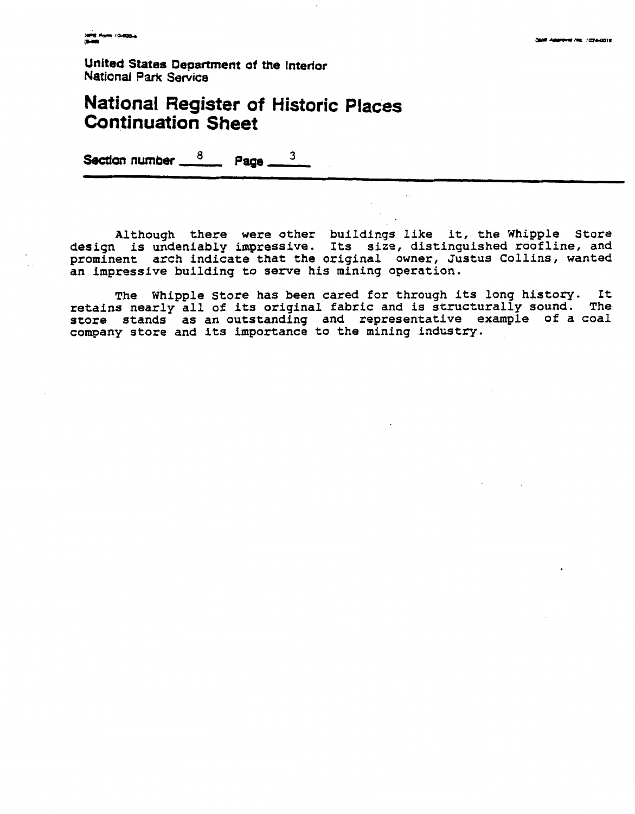#### **National Register of Historic Places Continuation Sheet**

Section number  $\frac{8}{2}$  Page 3

Although there were other buildings like it, the Whipple Store design is undeniably impressive. Its size, distinguished roofline, and prominent arch indicate that the original owner, Justus Collins, wanted an impressive building to serve his mining operation.

The Whipple Store has been cared for through its long history. It retains nearly all of its original fabric and is structurally sound. The store stands as an outstanding and representative example of a coal company store and its importance to the mining industry.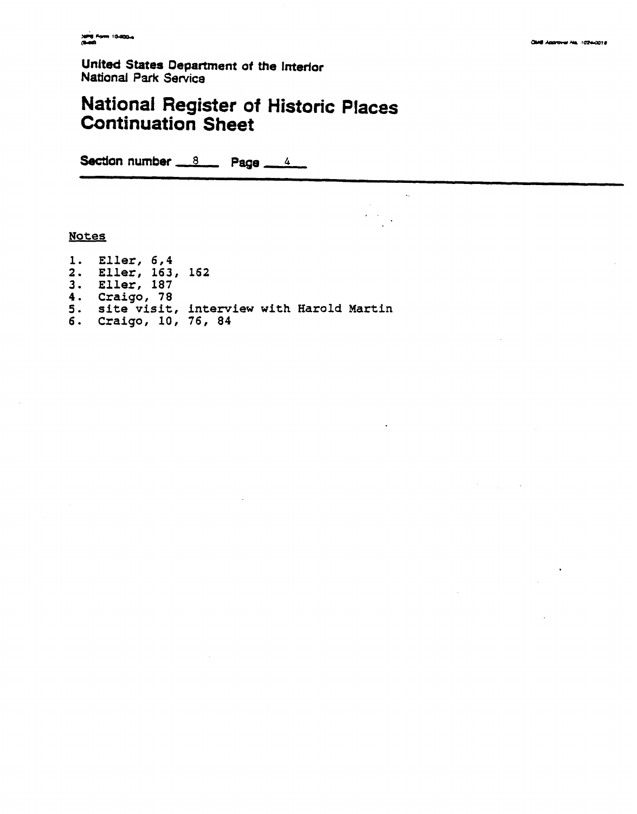#### **National Register of Historic Continuation Sheet Places**

 $\mathcal{L}^{\mathcal{L}}$ 

 $\Delta \sim 10^4$  $\epsilon$  ,  $\epsilon$ 

Section number  $8 \times 8$  Page  $4 \times 4$ 

#### **Notes**

**1. Eller, 6,4 2. Eller, 163, 162 3. Eller, 187 4. Craigo, 78 5. site visit, interview with Harold Martin 6. Craigo, 10, 76, 84**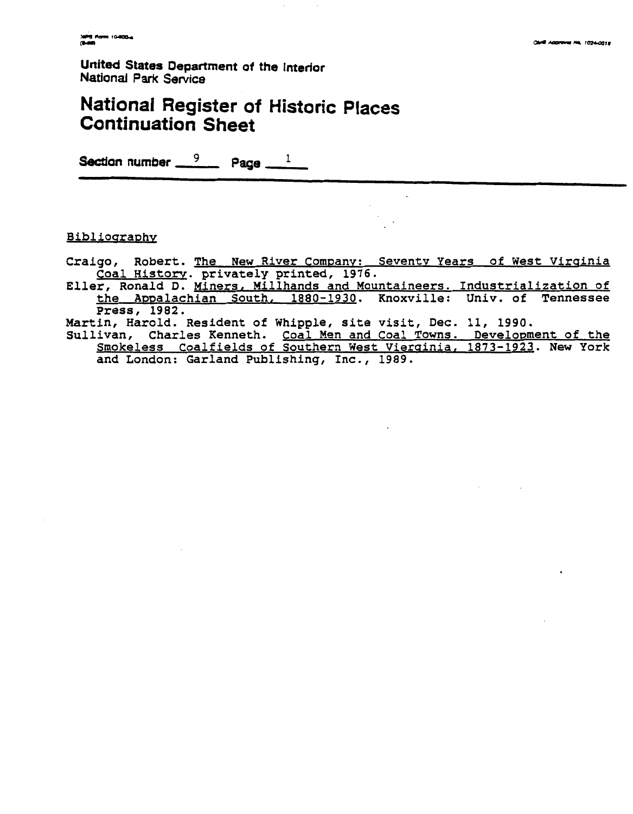# **National Register of Historic Places Continuation Sheet Section 2**<br>
United States Department of the Interior<br>
National Register of Historic Pla<br>
Continuation Sheet<br>
Section number <u>9</u> Page 1

#### Bibliography

Craigo, Robert. The New River Company: Seventy Years of West Virginia Coal History. privately printed, 1976.

Eller, Ronald D. Miners, Millhands and Mountaineers. Industrialization of the Appalachian South, 1880-1930. Knoxville: Univ. of Tennessee Press, **1982.** 

Martin, Harold. Resident of Whipple, site visit, Dec. **11, 1990.** 

Sullivan, Charles Kenneth. Coal Men and Coal Towns. Development of the Smokeless Coalfields of Southern West Vierainia, **1873-1923.** New York and London: Garland Publishing, Inc., **1989.**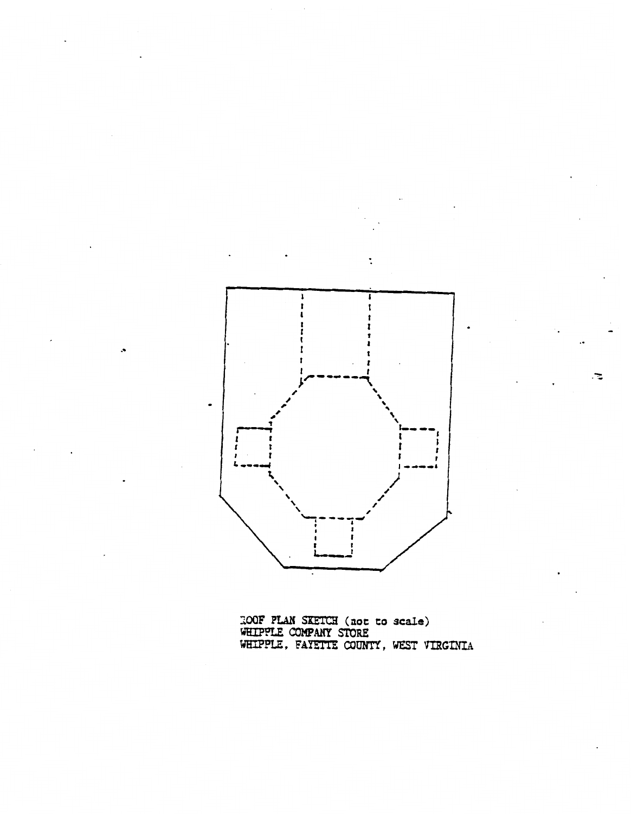

. T.

ZCQF **PLBH** SETCB **(not to scale)**  WBIPPLE *COHPANY* **STORE**  ULITIE WATANI SIUKE.<br>HTPPLE FAY<del>ETTE</del> COUNTY, WEST VIBCINTA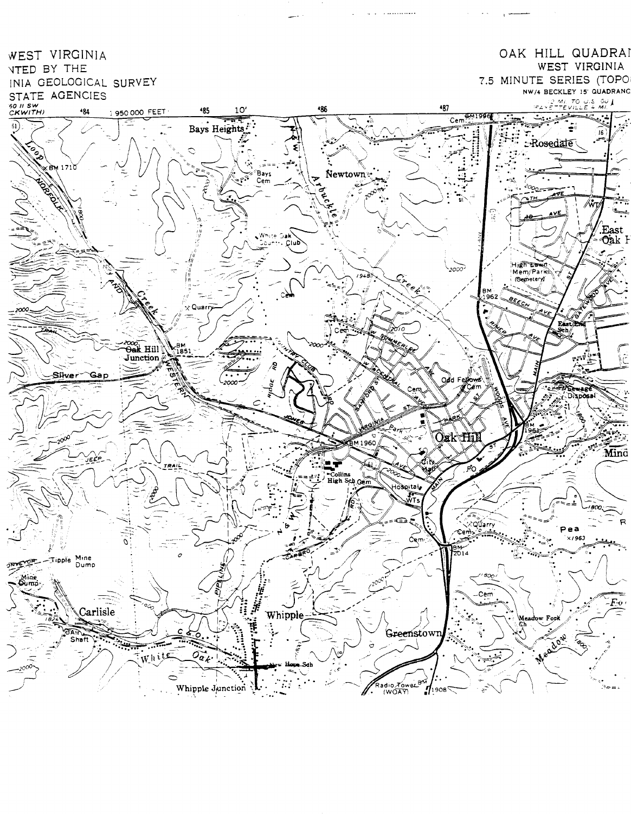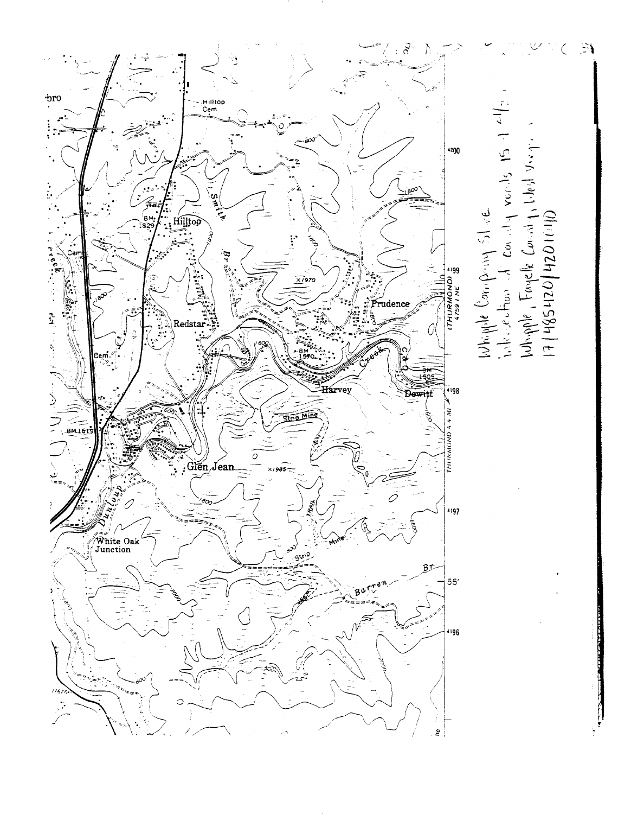